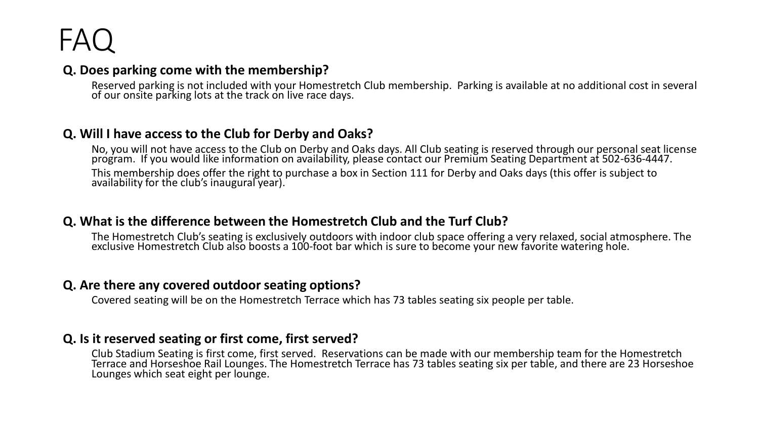# FAQ

#### **Q. Does parking come with the membership?**

Reserved parking is not included with your Homestretch Club membership. Parking is available at no additional cost in several of our onsite parking lots at the track on live race days.

#### **Q. Will I have access to the Club for Derby and Oaks?**

No, you will not have access to the Club on Derby and Oaks days. All Club seating is reserved through our personal seat license program. If you would like information on availability, please contact our Premium Seating Department at 502-636-4447. This membership does offer the right to purchase a box in Section 111 for Derby and Oaks days (this offer is subject to availability for the club's inaugural year).

#### **Q. What is the difference between the Homestretch Club and the Turf Club?**

The Homestretch Club's seating is exclusively outdoors with indoor club space offering a very relaxed, social atmosphere. The exclusive Homestretch Club also boosts a 100-foot bar which is sure to become your new favorite watering hole.

# **Q. Are there any covered outdoor seating options?**

Covered seating will be on the Homestretch Terrace which has 73 tables seating six people per table.

# **Q. Is it reserved seating or first come, first served?**

Club Stadium Seating is first come, first served. Reservations can be made with our membership team for the Homestretch Terrace and Horseshoe Rail Lounges. The Homestretch Terrace has 73 tables seating six per table, and there are 23 Horseshoe Lounges which seat eight per lounge.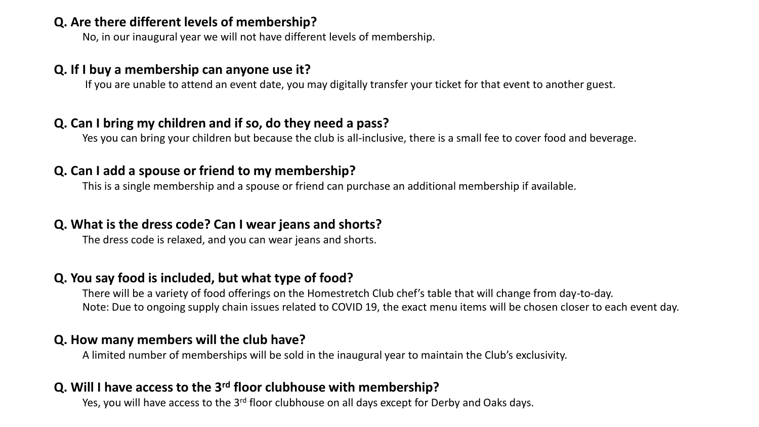#### **Q. Are there different levels of membership?**

No, in our inaugural year we will not have different levels of membership.

#### **Q. If I buy a membership can anyone use it?**

If you are unable to attend an event date, you may digitally transfer your ticket for that event to another guest.

#### **Q. Can I bring my children and if so, do they need a pass?**

Yes you can bring your children but because the club is all-inclusive, there is a small fee to cover food and beverage.

#### **Q. Can I add a spouse or friend to my membership?**

This is a single membership and a spouse or friend can purchase an additional membership if available.

# **Q. What is the dress code? Can I wear jeans and shorts?**

The dress code is relaxed, and you can wear jeans and shorts.

# **Q. You say food is included, but what type of food?**

There will be a variety of food offerings on the Homestretch Club chef's table that will change from day-to-day. Note: Due to ongoing supply chain issues related to COVID 19, the exact menu items will be chosen closer to each event day.

#### **Q. How many members will the club have?**

A limited number of memberships will be sold in the inaugural year to maintain the Club's exclusivity.

# **Q. Will I have access to the 3rd floor clubhouse with membership?**

Yes, you will have access to the 3<sup>rd</sup> floor clubhouse on all days except for Derby and Oaks days.